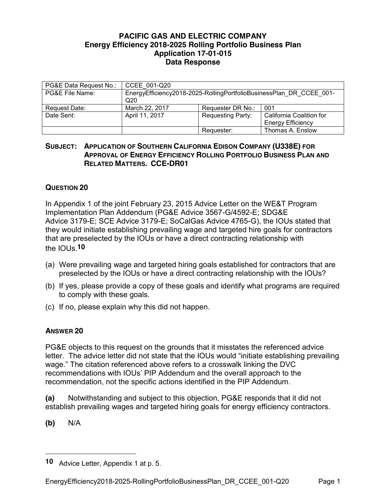## **PACIFIC GAS AND ELECTRIC COMPANY Energy Efficiency 2018-2025 Rolling Portfolio Business Plan Application 17-01-015 Data Response**

| PG&E Data Request No.: | CCEE 001-Q20                                                                           |                          |                                                      |
|------------------------|----------------------------------------------------------------------------------------|--------------------------|------------------------------------------------------|
| PG&E File Name:        | EnergyEfficiency2018-2025-RollingPortfolioBusinessPlan DR CCEE 001-<br>Q <sub>20</sub> |                          |                                                      |
| Request Date:          | March 22, 2017                                                                         | Requester DR No.:        | 001                                                  |
| Date Sent:             | April 11, 2017                                                                         | <b>Requesting Party:</b> | California Coalition for<br><b>Energy Efficiency</b> |
|                        |                                                                                        | Requester:               | Thomas A. Enslow                                     |

## **SUBJECT: APPLICATION OF SOUTHERN CALIFORNIA EDISON COMPANY (U338E) FOR APPROVAL OF ENERGY EFFICIENCY ROLLING PORTFOLIO BUSINESS PLAN AND RELATED MATTERS. CCE-DR01**

## **QUESTION 20**

In Appendix 1 of the joint February 23, 2015 Advice Letter on the WE&T Program Implementation Plan Addendum (PG&E Advice 3567-G/4592-E; SDG&E Advice 3179-E; SCE Advice 3179-E; SoCalGas Advice 4765-G), the IOUs stated that they would initiate establishing prevailing wage and targeted hire goals for contractors that are preselected by the IOUs or have a direct contracting relationship with the  $I$ <sup>O</sup>Us.<sup>10</sup>

- (a) Were prevailing wage and targeted hiring goals established for contractors that are preselected by the IOUs or have a direct contracting relationship with the IOUs?
- (b) If yes, please provide a copy of these goals and identify what programs are required to comply with these goals.
- (c) If no, please explain why this did not happen.

## **ANSWER 20**

PG&E objects to this request on the grounds that it misstates the referenced advice letter. The advice letter did not state that the IOUs would "initiate establishing prevailing wage." The citation referenced above refers to a crosswalk linking the DVC recommendations with IOUs' PIP Addendum and the overall approach to the recommendation, not the specific actions identified in the PIP Addendum.

**(a)** Notwithstanding and subject to this objection, PG&E responds that it did not establish prevailing wages and targeted hiring goals for energy efficiency contractors.

**(b)** N/A

 $\overline{a}$ 

**<sup>10</sup>** Advice Letter, Appendix 1 at p. 5.